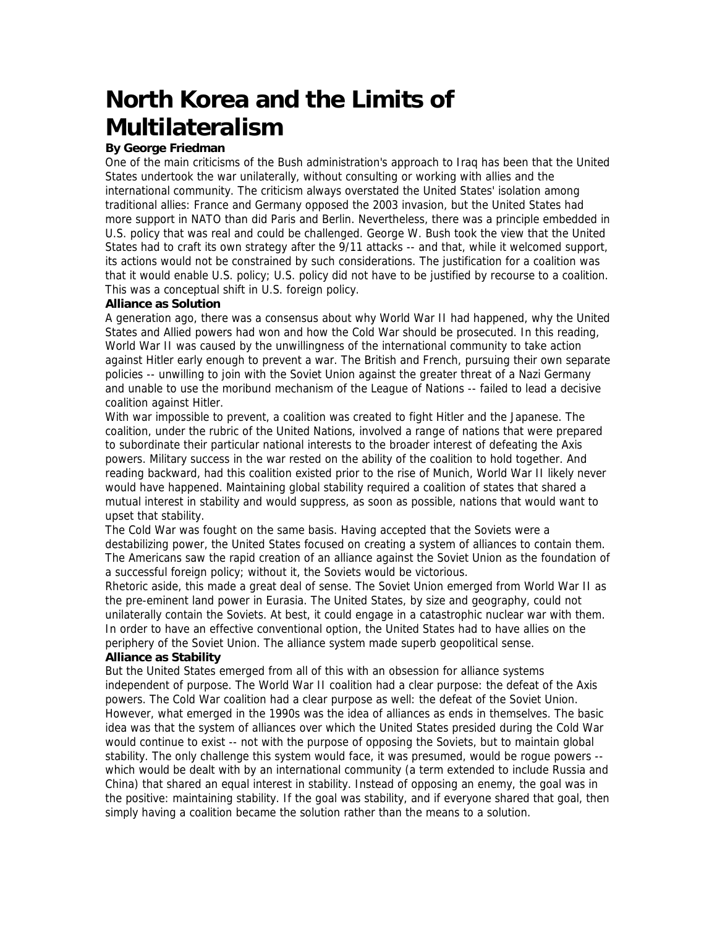# **North Korea and the Limits of Multilateralism**

# **By George Friedman**

One of the main criticisms of the Bush administration's approach to Iraq has been that the United States undertook the war unilaterally, without consulting or working with allies and the international community. The criticism always overstated the United States' isolation among traditional allies: France and Germany opposed the 2003 invasion, but the United States had more support in NATO than did Paris and Berlin. Nevertheless, there was a principle embedded in U.S. policy that was real and could be challenged. George W. Bush took the view that the United States had to craft its own strategy after the 9/11 attacks -- and that, while it welcomed support, its actions would not be constrained by such considerations. The justification for a coalition was that it would enable U.S. policy; U.S. policy did not have to be justified by recourse to a coalition. This was a conceptual shift in U.S. foreign policy.

## **Alliance as Solution**

A generation ago, there was a consensus about why World War II had happened, why the United States and Allied powers had won and how the Cold War should be prosecuted. In this reading, World War II was caused by the unwillingness of the international community to take action against Hitler early enough to prevent a war. The British and French, pursuing their own separate policies -- unwilling to join with the Soviet Union against the greater threat of a Nazi Germany and unable to use the moribund mechanism of the League of Nations -- failed to lead a decisive coalition against Hitler.

With war impossible to prevent, a coalition was created to fight Hitler and the Japanese. The coalition, under the rubric of the United Nations, involved a range of nations that were prepared to subordinate their particular national interests to the broader interest of defeating the Axis powers. Military success in the war rested on the ability of the coalition to hold together. And reading backward, had this coalition existed prior to the rise of Munich, World War II likely never would have happened. Maintaining global stability required a coalition of states that shared a mutual interest in stability and would suppress, as soon as possible, nations that would want to upset that stability.

The Cold War was fought on the same basis. Having accepted that the Soviets were a destabilizing power, the United States focused on creating a system of alliances to contain them. The Americans saw the rapid creation of an alliance against the Soviet Union as the foundation of a successful foreign policy; without it, the Soviets would be victorious.

Rhetoric aside, this made a great deal of sense. The Soviet Union emerged from World War II as the pre-eminent land power in Eurasia. The United States, by size and geography, could not unilaterally contain the Soviets. At best, it could engage in a catastrophic nuclear war with them. In order to have an effective conventional option, the United States had to have allies on the periphery of the Soviet Union. The alliance system made superb geopolitical sense.

## **Alliance as Stability**

But the United States emerged from all of this with an obsession for alliance systems independent of purpose. The World War II coalition had a clear purpose: the defeat of the Axis powers. The Cold War coalition had a clear purpose as well: the defeat of the Soviet Union. However, what emerged in the 1990s was the idea of alliances as ends in themselves. The basic idea was that the system of alliances over which the United States presided during the Cold War would continue to exist -- not with the purpose of opposing the Soviets, but to maintain global stability. The only challenge this system would face, it was presumed, would be rogue powers - which would be dealt with by an international community (a term extended to include Russia and China) that shared an equal interest in stability. Instead of opposing an enemy, the goal was in the positive: maintaining stability. If the goal was stability, and if everyone shared that goal, then simply having a coalition became the solution rather than the means to a solution.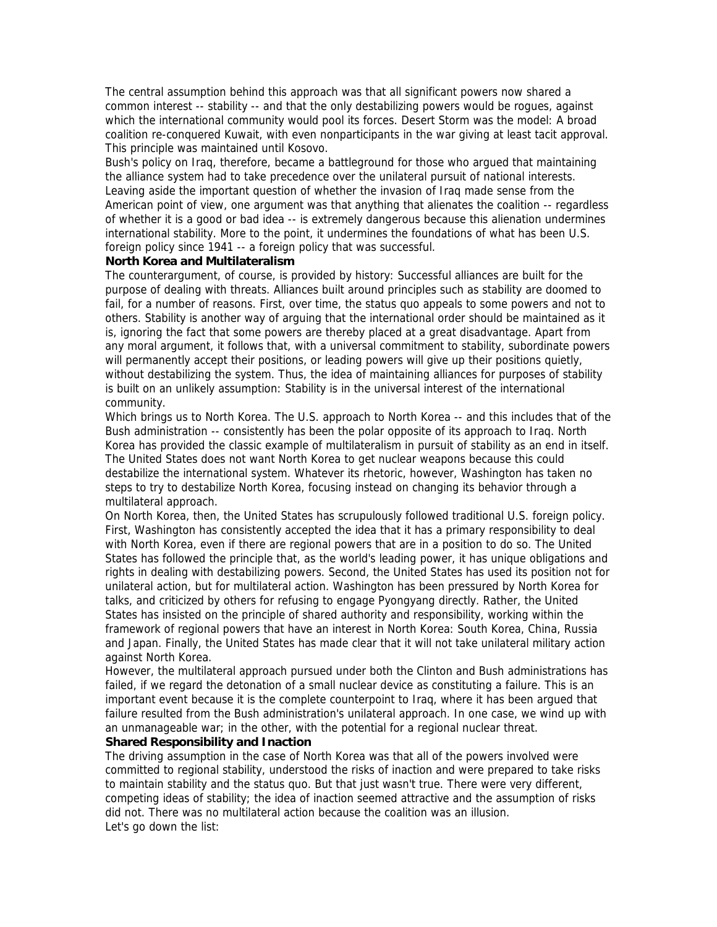The central assumption behind this approach was that all significant powers now shared a common interest -- stability -- and that the only destabilizing powers would be rogues, against which the international community would pool its forces. Desert Storm was the model: A broad coalition re-conquered Kuwait, with even nonparticipants in the war giving at least tacit approval. This principle was maintained until Kosovo.

Bush's policy on Iraq, therefore, became a battleground for those who argued that maintaining the alliance system had to take precedence over the unilateral pursuit of national interests. Leaving aside the important question of whether the invasion of Iraq made sense from the American point of view, one argument was that anything that alienates the coalition -- regardless of whether it is a good or bad idea -- is extremely dangerous because this alienation undermines international stability. More to the point, it undermines the foundations of what has been U.S. foreign policy since 1941 -- a foreign policy that was successful.

#### **North Korea and Multilateralism**

The counterargument, of course, is provided by history: Successful alliances are built for the purpose of dealing with threats. Alliances built around principles such as stability are doomed to fail, for a number of reasons. First, over time, the status quo appeals to some powers and not to others. Stability is another way of arguing that the international order should be maintained as it is, ignoring the fact that some powers are thereby placed at a great disadvantage. Apart from any moral argument, it follows that, with a universal commitment to stability, subordinate powers will permanently accept their positions, or leading powers will give up their positions quietly, without destabilizing the system. Thus, the idea of maintaining alliances for purposes of stability is built on an unlikely assumption: Stability is in the universal interest of the international community.

Which brings us to North Korea. The U.S. approach to North Korea -- and this includes that of the Bush administration -- consistently has been the polar opposite of its approach to Iraq. North Korea has provided the classic example of multilateralism in pursuit of stability as an end in itself. The United States does not want North Korea to get nuclear weapons because this could destabilize the international system. Whatever its rhetoric, however, Washington has taken no steps to try to destabilize North Korea, focusing instead on changing its behavior through a multilateral approach.

On North Korea, then, the United States has scrupulously followed traditional U.S. foreign policy. First, Washington has consistently accepted the idea that it has a primary responsibility to deal with North Korea, even if there are regional powers that are in a position to do so. The United States has followed the principle that, as the world's leading power, it has unique obligations and rights in dealing with destabilizing powers. Second, the United States has used its position not for unilateral action, but for multilateral action. Washington has been pressured by North Korea for talks, and criticized by others for refusing to engage Pyongyang directly. Rather, the United States has insisted on the principle of shared authority and responsibility, working within the framework of regional powers that have an interest in North Korea: South Korea, China, Russia and Japan. Finally, the United States has made clear that it will not take unilateral military action against North Korea.

However, the multilateral approach pursued under both the Clinton and Bush administrations has failed, if we regard the detonation of a small nuclear device as constituting a failure. This is an important event because it is the complete counterpoint to Iraq, where it has been argued that failure resulted from the Bush administration's unilateral approach. In one case, we wind up with an unmanageable war; in the other, with the potential for a regional nuclear threat.

#### **Shared Responsibility and Inaction**

The driving assumption in the case of North Korea was that all of the powers involved were committed to regional stability, understood the risks of inaction and were prepared to take risks to maintain stability and the status quo. But that just wasn't true. There were very different, competing ideas of stability; the idea of inaction seemed attractive and the assumption of risks did not. There was no multilateral action because the coalition was an illusion. Let's go down the list: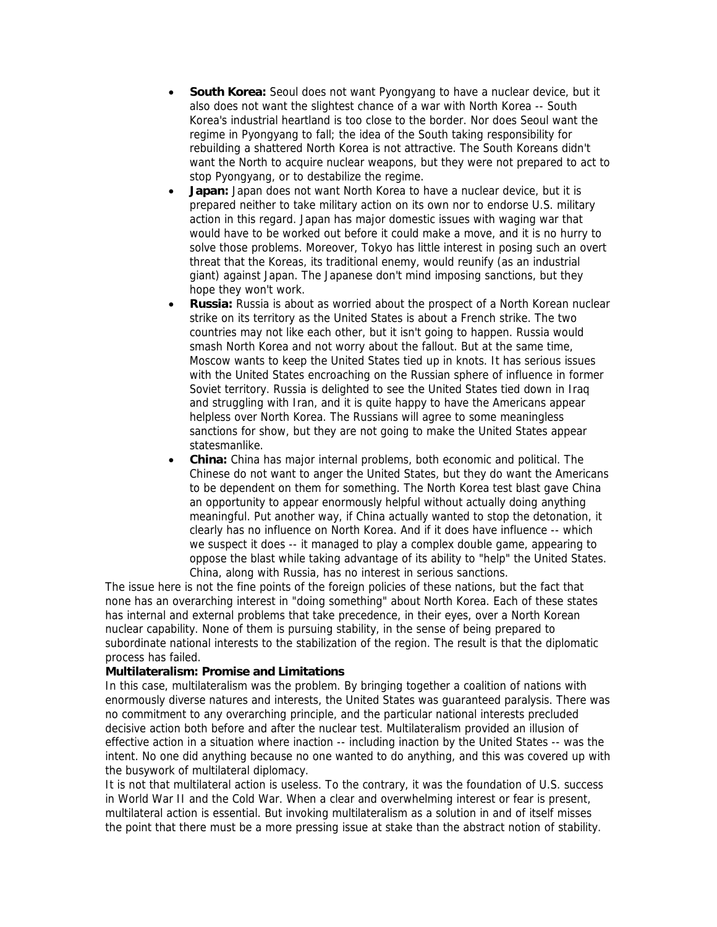- **South Korea:** Seoul does not want Pyongyang to have a nuclear device, but it also does not want the slightest chance of a war with North Korea -- South Korea's industrial heartland is too close to the border. Nor does Seoul want the regime in Pyongyang to fall; the idea of the South taking responsibility for rebuilding a shattered North Korea is not attractive. The South Koreans didn't want the North to acquire nuclear weapons, but they were not prepared to act to stop Pyongyang, or to destabilize the regime.
- **Japan:** Japan does not want North Korea to have a nuclear device, but it is prepared neither to take military action on its own nor to endorse U.S. military action in this regard. Japan has major domestic issues with waging war that would have to be worked out before it could make a move, and it is no hurry to solve those problems. Moreover, Tokyo has little interest in posing such an overt threat that the Koreas, its traditional enemy, would reunify (as an industrial giant) against Japan. The Japanese don't mind imposing sanctions, but they hope they won't work.
- **Russia:** Russia is about as worried about the prospect of a North Korean nuclear strike on its territory as the United States is about a French strike. The two countries may not like each other, but it isn't going to happen. Russia would smash North Korea and not worry about the fallout. But at the same time, Moscow wants to keep the United States tied up in knots. It has serious issues with the United States encroaching on the Russian sphere of influence in former Soviet territory. Russia is delighted to see the United States tied down in Iraq and struggling with Iran, and it is quite happy to have the Americans appear helpless over North Korea. The Russians will agree to some meaningless sanctions for show, but they are not going to make the United States appear statesmanlike.
- **China:** China has major internal problems, both economic and political. The Chinese do not want to anger the United States, but they do want the Americans to be dependent on them for something. The North Korea test blast gave China an opportunity to appear enormously helpful without actually doing anything meaningful. Put another way, if China actually wanted to stop the detonation, it clearly has no influence on North Korea. And if it does have influence -- which we suspect it does -- it managed to play a complex double game, appearing to oppose the blast while taking advantage of its ability to "help" the United States. China, along with Russia, has no interest in serious sanctions.

The issue here is not the fine points of the foreign policies of these nations, but the fact that none has an overarching interest in "doing something" about North Korea. Each of these states has internal and external problems that take precedence, in their eyes, over a North Korean nuclear capability. None of them is pursuing stability, in the sense of being prepared to subordinate national interests to the stabilization of the region. The result is that the diplomatic process has failed.

#### **Multilateralism: Promise and Limitations**

In this case, multilateralism was the problem. By bringing together a coalition of nations with enormously diverse natures and interests, the United States was guaranteed paralysis. There was no commitment to any overarching principle, and the particular national interests precluded decisive action both before and after the nuclear test. Multilateralism provided an illusion of effective action in a situation where inaction -- including inaction by the United States -- was the intent. No one did anything because no one wanted to do anything, and this was covered up with the busywork of multilateral diplomacy.

It is not that multilateral action is useless. To the contrary, it was the foundation of U.S. success in World War II and the Cold War. When a clear and overwhelming interest or fear is present, multilateral action is essential. But invoking multilateralism as a solution in and of itself misses the point that there must be a more pressing issue at stake than the abstract notion of stability.